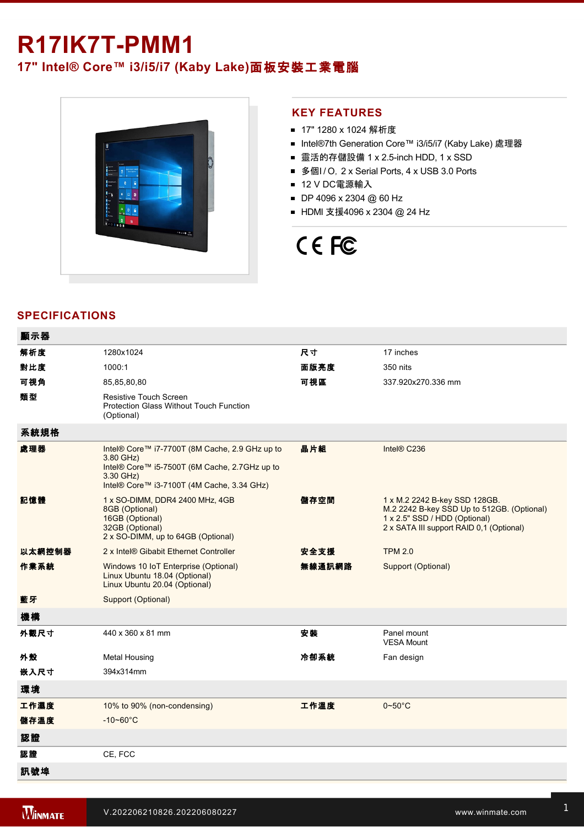## **R17IK7T-PMM1**

### **17" Intel® Core™ i3/i5/i7 (Kaby Lake)**面板安裝工業電腦



#### **KEY FEATURES**

- 17" 1280 x 1024 解析度
- Intel®7th Generation Core™ i3/i5/i7 (Kaby Lake) 處理器
- 靈活的存儲設備 1 x 2.5-inch HDD, 1 x SSD
- 多個I/O, 2 x Serial Ports, 4 x USB 3.0 Ports
- 12 V DC電源輸入
- DP 4096 x 2304 @ 60 Hz
- HDMI 支援4096 x 2304 @ 24 Hz

# CE FC

#### **SPECIFICATIONS**

| 解析度<br>尺寸<br>1280x1024<br>17 inches<br>對比度<br>面版亮度<br>1000:1<br>350 nits<br>可視角<br>可視區<br>337.920x270.336 mm<br>85,85,80,80<br>類型<br><b>Resistive Touch Screen</b><br><b>Protection Glass Without Touch Function</b><br>(Optional)<br>系統規格<br>晶片組<br>處理器<br>Intel® Core™ i7-7700T (8M Cache, 2.9 GHz up to<br>Intel® C236<br>3.80 GHz)<br>Intel® Core™ i5-7500T (6M Cache, 2.7GHz up to<br>3.30 GHz)<br>Intel® Core™ i3-7100T (4M Cache, 3.34 GHz)<br>記憶體<br>儲存空間<br>1 x SO-DIMM, DDR4 2400 MHz, 4GB<br>1 x M.2 2242 B-key SSD 128GB.<br>8GB (Optional)<br>1 x 2.5" SSD / HDD (Optional)<br>16GB (Optional)<br>32GB (Optional)<br>2 x SATA III support RAID 0,1 (Optional)<br>2 x SO-DIMM, up to 64GB (Optional)<br>以太網控制器<br>安全支援<br><b>TPM 2.0</b><br>2 x Intel® Gibabit Ethernet Controller<br>作業系統<br>無線通訊網路<br>Windows 10 IoT Enterprise (Optional)<br>Support (Optional)<br>Linux Ubuntu 18.04 (Optional)<br>Linux Ubuntu 20.04 (Optional)<br>藍牙<br>Support (Optional)<br>機構<br>外觀尺寸<br>440 x 360 x 81 mm<br>安裝<br>Panel mount<br><b>VESA Mount</b><br>冷卻系統<br>外殼<br>Fan design<br><b>Metal Housing</b><br>嵌入尺寸<br>394x314mm<br>環境<br>工作濕度<br>工作溫度<br>$0\negthinspace\negthinspace\negthinspace 50^{\circ}\mathrm{C}$<br>10% to 90% (non-condensing)<br>儲存溫度<br>$-10 - 60^{\circ}C$<br>認證<br>認證<br>CE, FCC<br>訊號埠 | 顯示器 |  |                                            |
|-------------------------------------------------------------------------------------------------------------------------------------------------------------------------------------------------------------------------------------------------------------------------------------------------------------------------------------------------------------------------------------------------------------------------------------------------------------------------------------------------------------------------------------------------------------------------------------------------------------------------------------------------------------------------------------------------------------------------------------------------------------------------------------------------------------------------------------------------------------------------------------------------------------------------------------------------------------------------------------------------------------------------------------------------------------------------------------------------------------------------------------------------------------------------------------------------------------------------------------------------------------------------------------------------------------------------|-----|--|--------------------------------------------|
|                                                                                                                                                                                                                                                                                                                                                                                                                                                                                                                                                                                                                                                                                                                                                                                                                                                                                                                                                                                                                                                                                                                                                                                                                                                                                                                         |     |  |                                            |
|                                                                                                                                                                                                                                                                                                                                                                                                                                                                                                                                                                                                                                                                                                                                                                                                                                                                                                                                                                                                                                                                                                                                                                                                                                                                                                                         |     |  |                                            |
|                                                                                                                                                                                                                                                                                                                                                                                                                                                                                                                                                                                                                                                                                                                                                                                                                                                                                                                                                                                                                                                                                                                                                                                                                                                                                                                         |     |  |                                            |
|                                                                                                                                                                                                                                                                                                                                                                                                                                                                                                                                                                                                                                                                                                                                                                                                                                                                                                                                                                                                                                                                                                                                                                                                                                                                                                                         |     |  |                                            |
|                                                                                                                                                                                                                                                                                                                                                                                                                                                                                                                                                                                                                                                                                                                                                                                                                                                                                                                                                                                                                                                                                                                                                                                                                                                                                                                         |     |  |                                            |
|                                                                                                                                                                                                                                                                                                                                                                                                                                                                                                                                                                                                                                                                                                                                                                                                                                                                                                                                                                                                                                                                                                                                                                                                                                                                                                                         |     |  |                                            |
|                                                                                                                                                                                                                                                                                                                                                                                                                                                                                                                                                                                                                                                                                                                                                                                                                                                                                                                                                                                                                                                                                                                                                                                                                                                                                                                         |     |  | M.2 2242 B-key SSD Up to 512GB. (Optional) |
|                                                                                                                                                                                                                                                                                                                                                                                                                                                                                                                                                                                                                                                                                                                                                                                                                                                                                                                                                                                                                                                                                                                                                                                                                                                                                                                         |     |  |                                            |
|                                                                                                                                                                                                                                                                                                                                                                                                                                                                                                                                                                                                                                                                                                                                                                                                                                                                                                                                                                                                                                                                                                                                                                                                                                                                                                                         |     |  |                                            |
|                                                                                                                                                                                                                                                                                                                                                                                                                                                                                                                                                                                                                                                                                                                                                                                                                                                                                                                                                                                                                                                                                                                                                                                                                                                                                                                         |     |  |                                            |
|                                                                                                                                                                                                                                                                                                                                                                                                                                                                                                                                                                                                                                                                                                                                                                                                                                                                                                                                                                                                                                                                                                                                                                                                                                                                                                                         |     |  |                                            |
|                                                                                                                                                                                                                                                                                                                                                                                                                                                                                                                                                                                                                                                                                                                                                                                                                                                                                                                                                                                                                                                                                                                                                                                                                                                                                                                         |     |  |                                            |
|                                                                                                                                                                                                                                                                                                                                                                                                                                                                                                                                                                                                                                                                                                                                                                                                                                                                                                                                                                                                                                                                                                                                                                                                                                                                                                                         |     |  |                                            |
|                                                                                                                                                                                                                                                                                                                                                                                                                                                                                                                                                                                                                                                                                                                                                                                                                                                                                                                                                                                                                                                                                                                                                                                                                                                                                                                         |     |  |                                            |
|                                                                                                                                                                                                                                                                                                                                                                                                                                                                                                                                                                                                                                                                                                                                                                                                                                                                                                                                                                                                                                                                                                                                                                                                                                                                                                                         |     |  |                                            |
|                                                                                                                                                                                                                                                                                                                                                                                                                                                                                                                                                                                                                                                                                                                                                                                                                                                                                                                                                                                                                                                                                                                                                                                                                                                                                                                         |     |  |                                            |
|                                                                                                                                                                                                                                                                                                                                                                                                                                                                                                                                                                                                                                                                                                                                                                                                                                                                                                                                                                                                                                                                                                                                                                                                                                                                                                                         |     |  |                                            |
|                                                                                                                                                                                                                                                                                                                                                                                                                                                                                                                                                                                                                                                                                                                                                                                                                                                                                                                                                                                                                                                                                                                                                                                                                                                                                                                         |     |  |                                            |
|                                                                                                                                                                                                                                                                                                                                                                                                                                                                                                                                                                                                                                                                                                                                                                                                                                                                                                                                                                                                                                                                                                                                                                                                                                                                                                                         |     |  |                                            |
|                                                                                                                                                                                                                                                                                                                                                                                                                                                                                                                                                                                                                                                                                                                                                                                                                                                                                                                                                                                                                                                                                                                                                                                                                                                                                                                         |     |  |                                            |

and the state of the state of the state of the state of the state of the state of the state of the state of th

 $\mathcal{L}^2$  and  $\mathcal{L}^2$  is  $\mathcal{L}^2$  for  $\mathcal{L}^2$  for  $\mathcal{L}^2$  for  $\mathcal{L}^2$  for  $\mathcal{L}^2$  for  $\mathcal{L}^2$  for  $\mathcal{L}^2$  for  $\mathcal{L}^2$